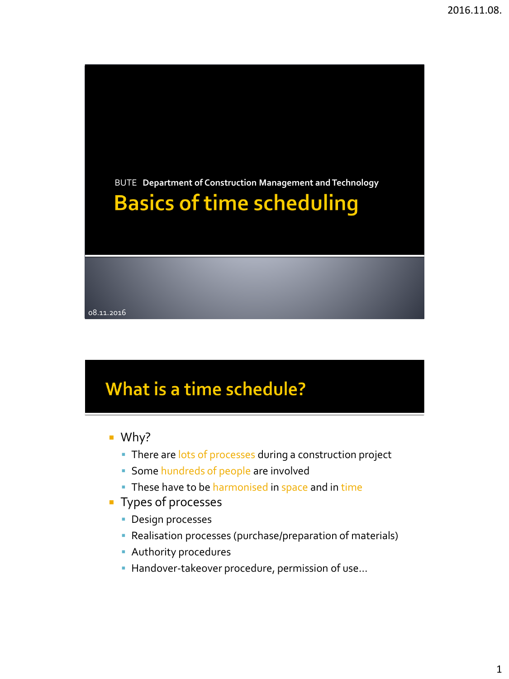BUTE **Department of Construction Management and Technology Basics of time scheduling** 08.11.2016

# What is a time schedule?

- Why?
	- There are lots of processes during a construction project
	- Some hundreds of people are involved
	- These have to be harmonised in space and in time
- **Types of processes** 
	- **Design processes**
	- Realisation processes (purchase/preparation of materials)
	- Authority procedures
	- **Handover-takeover procedure, permission of use...**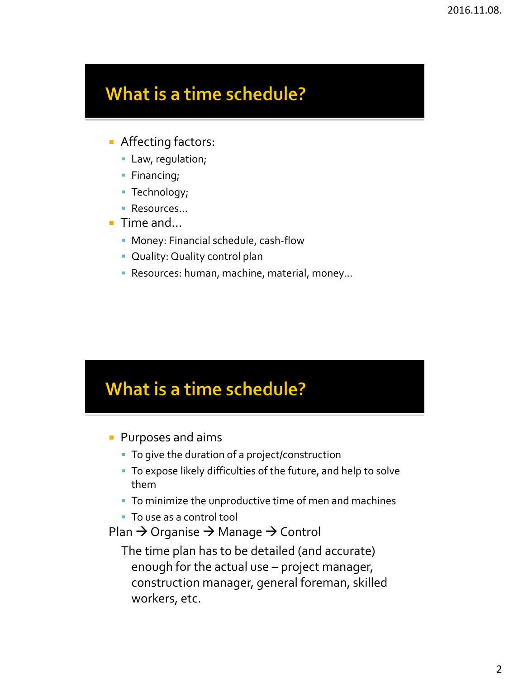### What is a time schedule?

- **Affecting factors:** 
	- Law, regulation;
	- **Financing**;
	- **Technology**;
	- Resources...
- $\blacksquare$  Time and...
	- Money: Financial schedule, cash-flow
	- **Quality: Quality control plan**
	- Resources: human, machine, material, money…

#### What is a time schedule?

- **Purposes and aims** 
	- To give the duration of a project/construction
	- To expose likely difficulties of the future, and help to solve them
	- To minimize the unproductive time of men and machines
	- To use as a control tool
- Plan  $\rightarrow$  Organise  $\rightarrow$  Manage  $\rightarrow$  Control
	- The time plan has to be detailed (and accurate) enough for the actual use – project manager, construction manager, general foreman, skilled workers, etc.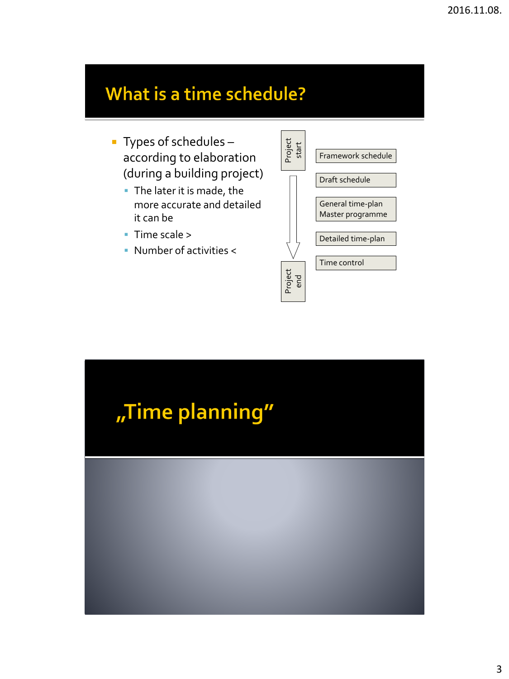## What is a time schedule?

- Types of schedules according to elaboration (during a building project)
	- The later it is made, the more accurate and detailed it can be
	- Time scale >
	- Number of activities <



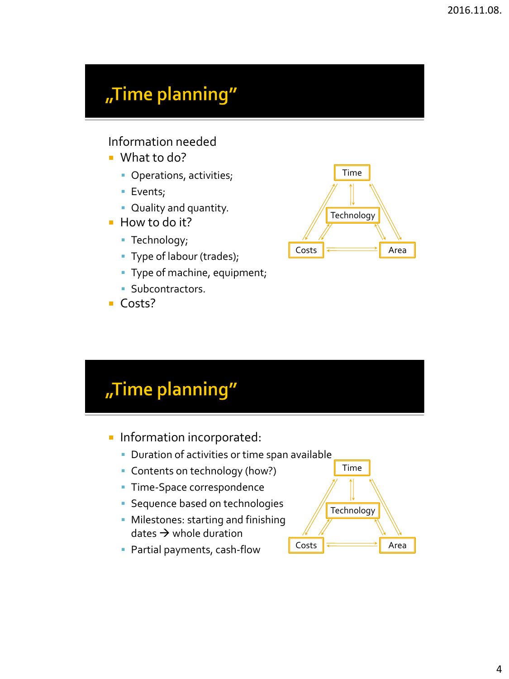### "Time planning"

Information needed

- What to do?
	- **Operations, activities;**
	- **Events;**
	- Quality and quantity.
- $\blacksquare$  How to do it?
	- **Technology**;
	- Type of labour (trades);
	- Type of machine, equipment;
	- **Subcontractors.**
- Costs?



# "Time planning"

- **Information incorporated:** 
	- **Duration of activities or time span available**
	- **Contents on technology (how?)**
	- **Time-Space correspondence**
	- **Sequence based on technologies**
	- **Milestones: starting and finishing** dates  $\rightarrow$  whole duration



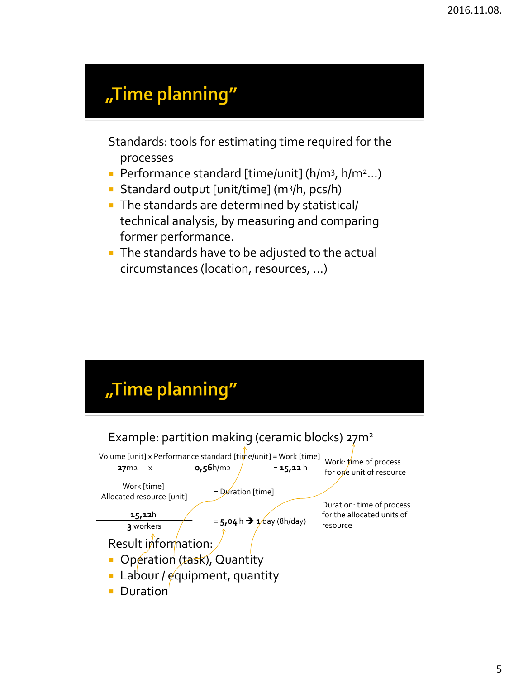### "Time planning"

Standards: tools for estimating time required for the processes

- Performance standard [time/unit] (h/m<sup>3</sup>, h/m<sup>2</sup>...)
- Standard output [unit/time] (m<sup>3</sup> /h, pcs/h)
- The standards are determined by statistical/ technical analysis, by measuring and comparing former performance.
- The standards have to be adjusted to the actual circumstances (location, resources, …)

# "Time planning"

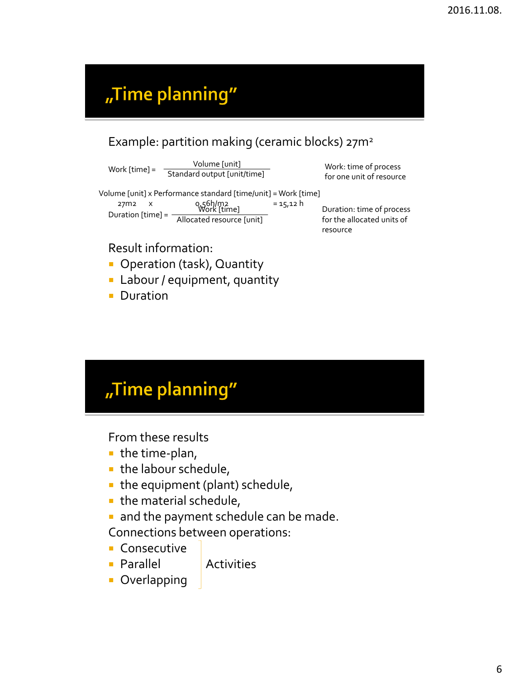## "Time planning"

#### Example: partition making (ceramic blocks) 27m<sup>2</sup>

Volume [unit] Work  $[time] = \frac{1}{\text{Standard output [unit/time]}}$  Work: time of process for one unit of resource

Volume [unit] x Performance standard [time/unit] = Work [time]<br>  $27m2 \times 0.561/m2 = 15.12 h$ <br>
Work [time]  $27m2 \times Q_156h/m2 = 15,12 h$ Duration [time] = Work [time] Allocated resource [unit]

Duration: time of process for the allocated units of resource

#### Result information:

- **Operation (task), Quantity**
- **Labour / equipment, quantity**
- **Duration**

# "Time planning"

From these results

- $\blacksquare$  the time-plan,
- the labour schedule,
- $\blacksquare$  the equipment (plant) schedule,
- the material schedule,
- and the payment schedule can be made.
- Connections between operations:
- **Consecutive**
- **Parallel** Activities

**D**verlapping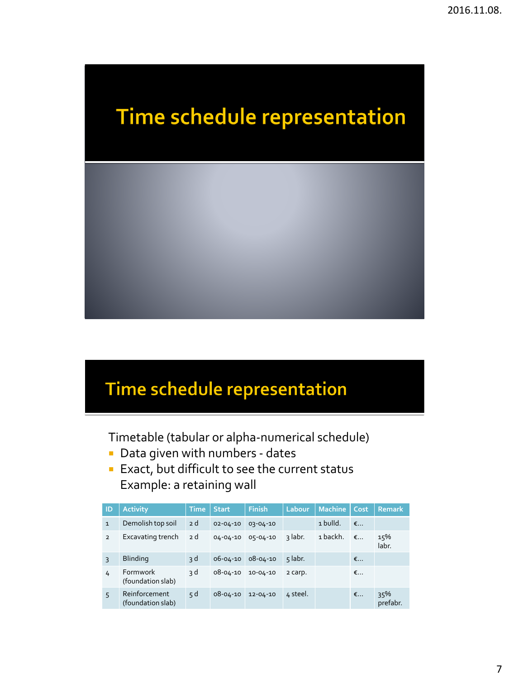

# Time schedule representation

Timetable (tabular or alpha-numerical schedule)

- **Data given with numbers dates**
- **Exact, but difficult to see the current status** Example: a retaining wall

| ID             | <b>Activity</b>                    | Time | <b>Start</b>   | <b>Finish</b>  | Labour,  | <b>Machine</b> | Cost.      | <b>Remark</b>   |
|----------------|------------------------------------|------|----------------|----------------|----------|----------------|------------|-----------------|
| $\mathbf{1}$   | Demolish top soil                  | 2d   | $02 - 04 - 10$ | 03-04-10       |          | 1 bulld.       | $\epsilon$ |                 |
| $\overline{2}$ | Excavating trench                  | 2 d  | $04 - 04 - 10$ | 05-04-10       | ३ labr.  | 1 backh.       | $\epsilon$ | 15%<br>labr.    |
| $\overline{3}$ | <b>Blinding</b>                    | 3 d  | 06-04-10       | 08-04-10       | 5 labr.  |                | €          |                 |
| 4              | Formwork<br>(foundation slab)      | 3 d  | 08-04-10       | $10 - 04 - 10$ | 2 carp.  |                | €          |                 |
| 5              | Reinforcement<br>(foundation slab) | 5d   | $08 - 04 - 10$ | $12 - 04 - 10$ | 4 steel. |                | €          | 35%<br>prefabr. |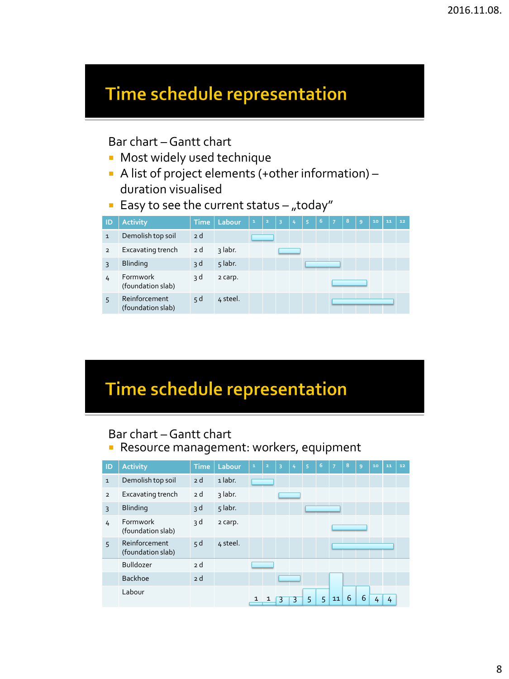#### Bar chart –Gantt chart

- **Most widely used technique**
- A list of project elements (+other information) duration visualised
- **Easy to see the current status "today"**



# Time schedule representation

#### Bar chart –Gantt chart

**Resource management: workers, equipment** 

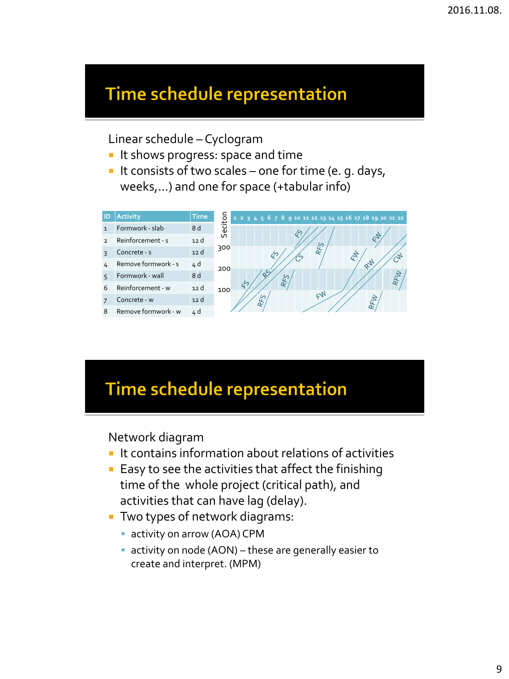Linear schedule – Cyclogram

- It shows progress: space and time
- It consists of two scales one for time (e. g. days, weeks,…) and one for space (+tabular info)



### Time schedule representation

Network diagram

- $\blacksquare$  It contains information about relations of activities
- $\blacksquare$  Easy to see the activities that affect the finishing time of the whole project (critical path), and activities that can have lag (delay).
- **Two types of network diagrams:** 
	- **activity on arrow (AOA) CPM**
	- activity on node (AON) these are generally easier to create and interpret. (MPM)